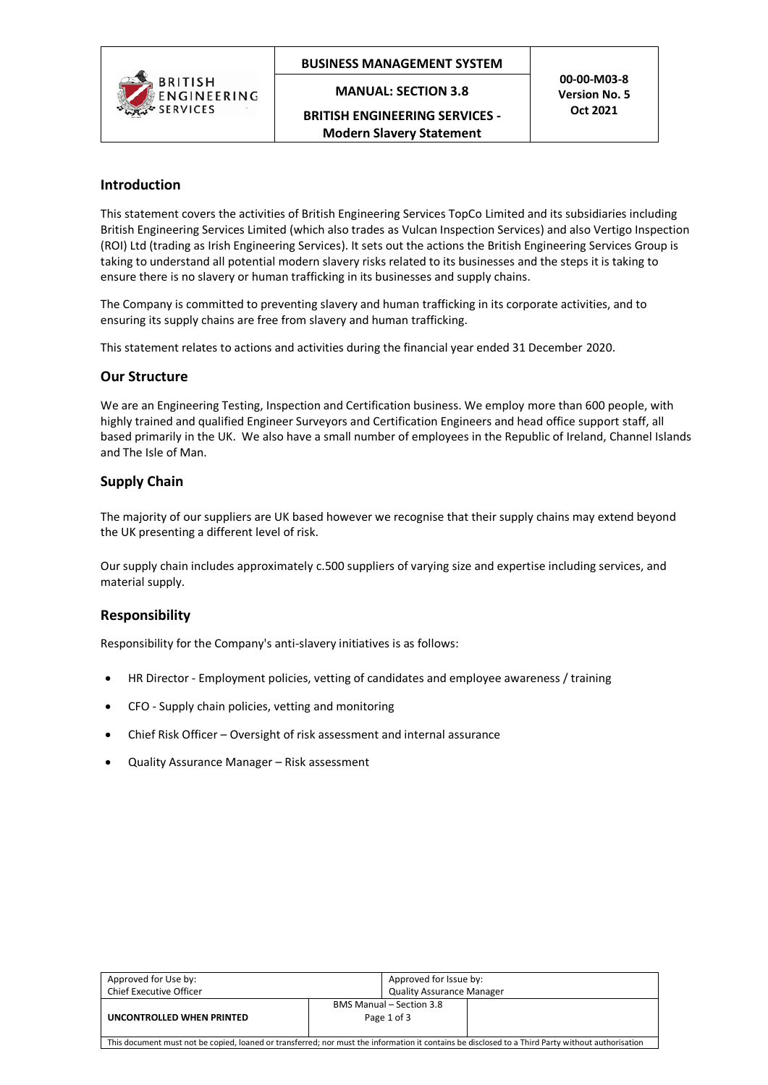

## **BUSINESS MANAGEMENT SYSTEM**

**MANUAL: SECTION 3.8**

**BRITISH ENGINEERING SERVICES - Modern Slavery Statement**

**00-00-M03-8 Version No. 5 Oct 2021**

## **Introduction**

This statement covers the activities of British Engineering Services TopCo Limited and its subsidiaries including British Engineering Services Limited (which also trades as Vulcan Inspection Services) and also Vertigo Inspection (ROI) Ltd (trading as Irish Engineering Services). It sets out the actions the British Engineering Services Group is taking to understand all potential modern slavery risks related to its businesses and the steps it is taking to ensure there is no slavery or human trafficking in its businesses and supply chains.

The Company is committed to preventing slavery and human trafficking in its corporate activities, and to ensuring its supply chains are free from slavery and human trafficking.

This statement relates to actions and activities during the financial year ended 31 December 2020.

#### **Our Structure**

We are an Engineering Testing, Inspection and Certification business. We employ more than 600 people, with highly trained and qualified Engineer Surveyors and Certification Engineers and head office support staff, all based primarily in the UK. We also have a small number of employees in the Republic of Ireland, Channel Islands and The Isle of Man.

#### **Supply Chain**

The majority of our suppliers are UK based however we recognise that their supply chains may extend beyond the UK presenting a different level of risk.

Our supply chain includes approximately c.500 suppliers of varying size and expertise including services, and material supply.

## **Responsibility**

Responsibility for the Company's anti-slavery initiatives is as follows:

- HR Director Employment policies, vetting of candidates and employee awareness / training
- CFO Supply chain policies, vetting and monitoring
- Chief Risk Officer Oversight of risk assessment and internal assurance
- Quality Assurance Manager Risk assessment

| Approved for Use by:                                                                                                                              | Approved for Issue by:                         |  |  |
|---------------------------------------------------------------------------------------------------------------------------------------------------|------------------------------------------------|--|--|
| <b>Chief Executive Officer</b>                                                                                                                    | <b>Quality Assurance Manager</b>               |  |  |
| UNCONTROLLED WHEN PRINTED                                                                                                                         | <b>BMS Manual - Section 3.8</b><br>Page 1 of 3 |  |  |
| This document must not be copied, loaned or transferred; nor must the information it contains be disclosed to a Third Party without authorisation |                                                |  |  |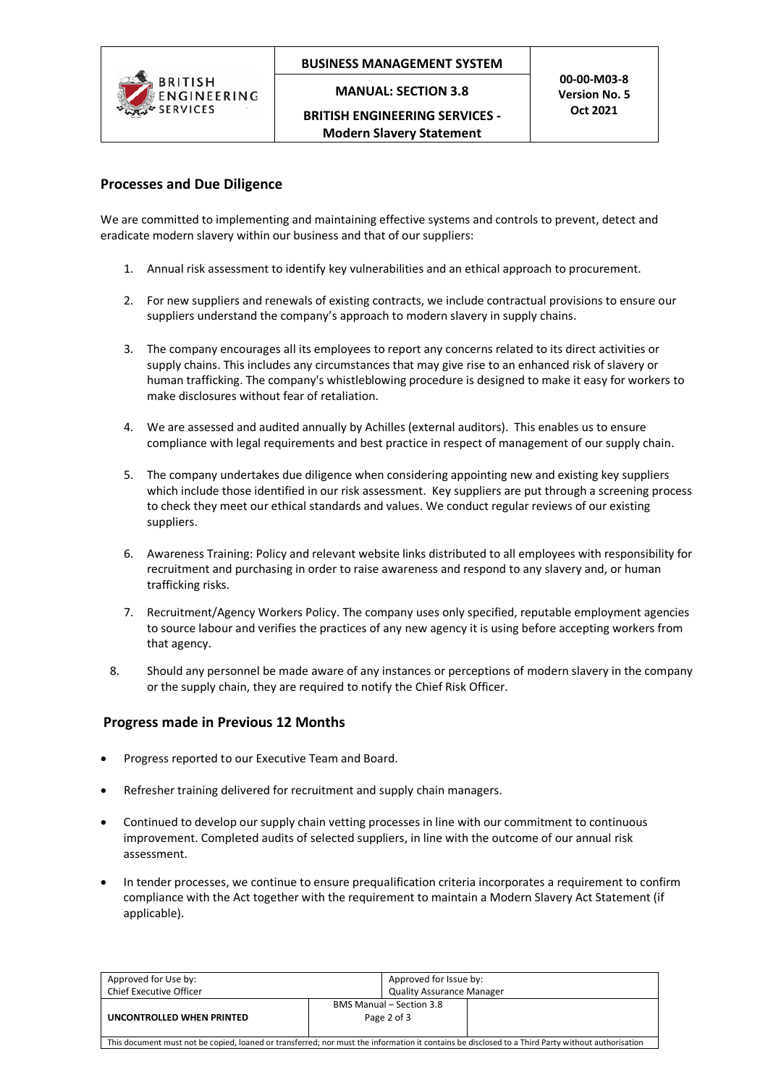

## **BUSINESS MANAGEMENT SYSTEM**

**MANUAL: SECTION 3.8**

**BRITISH ENGINEERING SERVICES - Modern Slavery Statement**

## **Processes and Due Diligence**

We are committed to implementing and maintaining effective systems and controls to prevent, detect and eradicate modern slavery within our business and that of our suppliers:

- 1. Annual risk assessment to identify key vulnerabilities and an ethical approach to procurement.
- 2. For new suppliers and renewals of existing contracts, we include contractual provisions to ensure our suppliers understand the company's approach to modern slavery in supply chains.
- 3. The company encourages all its employees to report any concerns related to its direct activities or supply chains. This includes any circumstances that may give rise to an enhanced risk of slavery or human trafficking. The company's whistleblowing procedure is designed to make it easy for workers to make disclosures without fear of retaliation.
- 4. We are assessed and audited annually by Achilles (external auditors). This enables us to ensure compliance with legal requirements and best practice in respect of management of our supply chain.
- 5. The company undertakes due diligence when considering appointing new and existing key suppliers which include those identified in our risk assessment. Key suppliers are put through a screening process to check they meet our ethical standards and values. We conduct regular reviews of our existing suppliers.
- 6. Awareness Training: Policy and relevant website links distributed to all employees with responsibility for recruitment and purchasing in order to raise awareness and respond to any slavery and, or human trafficking risks.
- 7. Recruitment/Agency Workers Policy. The company uses only specified, reputable employment agencies to source labour and verifies the practices of any new agency it is using before accepting workers from that agency.
- 8. Should any personnel be made aware of any instances or perceptions of modern slavery in the company or the supply chain, they are required to notify the Chief Risk Officer.

## **Progress made in Previous 12 Months**

- Progress reported to our Executive Team and Board.
- Refresher training delivered for recruitment and supply chain managers.
- Continued to develop our supply chain vetting processes in line with our commitment to continuous improvement. Completed audits of selected suppliers, in line with the outcome of our annual risk assessment.
- In tender processes, we continue to ensure prequalification criteria incorporates a requirement to confirm compliance with the Act together with the requirement to maintain a Modern Slavery Act Statement (if applicable).

| Approved for Use by:                                                                                                                              | Approved for Issue by:                         |  |  |  |
|---------------------------------------------------------------------------------------------------------------------------------------------------|------------------------------------------------|--|--|--|
| <b>Chief Executive Officer</b>                                                                                                                    | <b>Quality Assurance Manager</b>               |  |  |  |
| UNCONTROLLED WHEN PRINTED                                                                                                                         | <b>BMS Manual – Section 3.8</b><br>Page 2 of 3 |  |  |  |
| This document must not be copied, loaned or transferred; nor must the information it contains be disclosed to a Third Party without authorisation |                                                |  |  |  |